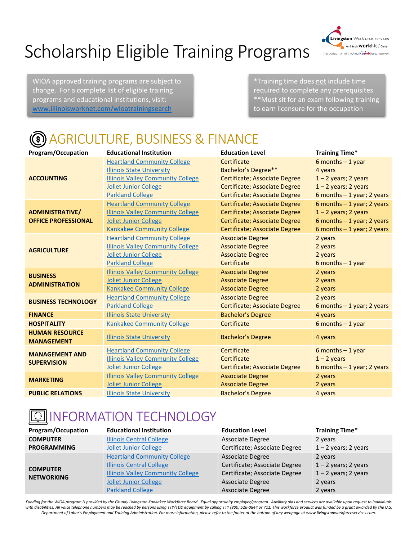# Scholarship Eligible Training Programs



WIOA approved training programs are subject to change. For a complete list of eligible training programs and educational institutions, visit: [www.illinoisworknet.com/wioatrainingsearch](http://www.illinoisworknet.com/wioatrainingsearch)

\*Training time does not include time required to complete any prerequisites \*\*Must sit for an exam following training to earn licensure for the occupation

#### **(** AGRICULTURE, BUSINESS & FINANCE

| Program/Occupation                          | <b>Educational Institution</b>           | <b>Education Level</b>        | <b>Training Time*</b>       |
|---------------------------------------------|------------------------------------------|-------------------------------|-----------------------------|
| <b>ACCOUNTING</b>                           | <b>Heartland Community College</b>       | Certificate                   | 6 months $-1$ year          |
|                                             | <b>Illinois State University</b>         | Bachelor's Degree**           | 4 years                     |
|                                             | <b>Illinois Valley Community College</b> | Certificate; Associate Degree | $1 - 2$ years; 2 years      |
|                                             | <b>Joliet Junior College</b>             | Certificate; Associate Degree | $1 - 2$ years; 2 years      |
|                                             | <b>Parkland College</b>                  | Certificate; Associate Degree | 6 months $-1$ year; 2 years |
|                                             | <b>Heartland Community College</b>       | Certificate; Associate Degree | 6 months $-1$ year; 2 years |
| <b>ADMINISTRATIVE/</b>                      | <b>Illinois Valley Community College</b> | Certificate; Associate Degree | $1 - 2$ years; 2 years      |
| <b>OFFICE PROFESSIONAL</b>                  | <b>Joliet Junior College</b>             | Certificate; Associate Degree | 6 months $-1$ year; 2 years |
|                                             | <b>Kankakee Community College</b>        | Certificate; Associate Degree | 6 months $-1$ year; 2 years |
|                                             | <b>Heartland Community College</b>       | <b>Associate Degree</b>       | 2 years                     |
| <b>AGRICULTURE</b>                          | <b>Illinois Valley Community College</b> | <b>Associate Degree</b>       | 2 years                     |
|                                             | <b>Joliet Junior College</b>             | <b>Associate Degree</b>       | 2 years                     |
|                                             | <b>Parkland College</b>                  | Certificate                   | 6 months $-1$ year          |
| <b>BUSINESS</b>                             | <b>Illinois Valley Community College</b> | <b>Associate Degree</b>       | 2 years                     |
| <b>ADMINISTRATION</b>                       | Joliet Junior College                    | <b>Associate Degree</b>       | 2 years                     |
|                                             | <b>Kankakee Community College</b>        | <b>Associate Degree</b>       | 2 years                     |
| <b>BUSINESS TECHNOLOGY</b>                  | <b>Heartland Community College</b>       | <b>Associate Degree</b>       | 2 years                     |
|                                             | <b>Parkland College</b>                  | Certificate; Associate Degree | 6 months $-1$ year; 2 years |
| <b>FINANCE</b>                              | <b>Illinois State University</b>         | <b>Bachelor's Degree</b>      | 4 years                     |
| <b>HOSPITALITY</b>                          | <b>Kankakee Community College</b>        | Certificate                   | 6 months $-1$ year          |
| <b>HUMAN RESOURCE</b>                       |                                          |                               |                             |
| <b>MANAGEMENT</b>                           | <b>Illinois State University</b>         | <b>Bachelor's Degree</b>      | 4 years                     |
| <b>MANAGEMENT AND</b><br><b>SUPERVISION</b> | <b>Heartland Community College</b>       | Certificate                   | 6 months $-1$ year          |
|                                             | <b>Illinois Valley Community College</b> | Certificate                   | $1 - 2$ years               |
|                                             | <b>Joliet Junior College</b>             | Certificate; Associate Degree | 6 months $-1$ year; 2 years |
|                                             | <b>Illinois Valley Community College</b> | <b>Associate Degree</b>       | 2 years                     |
| <b>MARKETING</b>                            | <b>Joliet Junior College</b>             | <b>Associate Degree</b>       | 2 years                     |
| <b>PUBLIC RELATIONS</b>                     | <b>Illinois State University</b>         | <b>Bachelor's Degree</b>      | 4 years                     |

#### <u> ा</u> INFORMATION TECHNOLOGY

| <b>Program/Occupation</b>            | <b>Educational Institution</b>           | <b>Education Level</b>        | <b>Training Time*</b>  |
|--------------------------------------|------------------------------------------|-------------------------------|------------------------|
| <b>COMPUTER</b>                      | <b>Illinois Central College</b>          | Associate Degree              | 2 years                |
| <b>PROGRAMMING</b>                   | Joliet Junior College                    | Certificate; Associate Degree | $1 - 2$ years; 2 years |
| <b>COMPUTER</b><br><b>NETWORKING</b> | <b>Heartland Community College</b>       | Associate Degree              | 2 years                |
|                                      | <b>Illinois Central College</b>          | Certificate; Associate Degree | $1 - 2$ years; 2 years |
|                                      | <b>Illinois Valley Community College</b> | Certificate; Associate Degree | $1 - 2$ years; 2 years |
|                                      | <b>Joliet Junior College</b>             | Associate Degree              | 2 years                |
|                                      | <b>Parkland College</b>                  | Associate Degree              | 2 years                |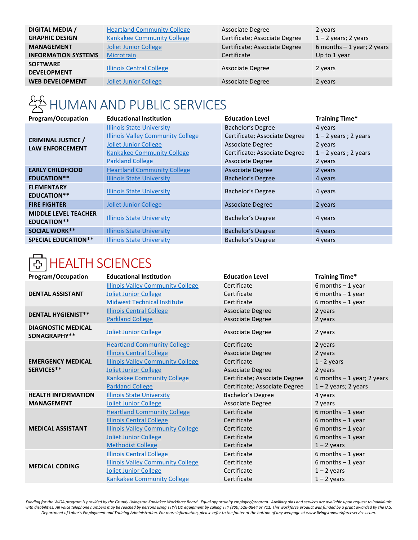| <b>DIGITAL MEDIA /</b>                | <b>Heartland Community College</b> | Associate Degree              | 2 years                     |
|---------------------------------------|------------------------------------|-------------------------------|-----------------------------|
| <b>GRAPHIC DESIGN</b>                 | <b>Kankakee Community College</b>  | Certificate; Associate Degree | $1 - 2$ years; 2 years      |
| <b>MANAGEMENT</b>                     | <b>Joliet Junior College</b>       | Certificate; Associate Degree | 6 months $-1$ year; 2 years |
| <b>INFORMATION SYSTEMS</b>            | Microtrain                         | Certificate                   | Up to 1 year                |
| <b>SOFTWARE</b><br><b>DEVELOPMENT</b> | <b>Illinois Central College</b>    | <b>Associate Degree</b>       | 2 years                     |
| <b>WEB DEVELOPMENT</b>                | <b>Joliet Junior College</b>       | <b>Associate Degree</b>       | 2 years                     |
|                                       |                                    |                               |                             |

## HUMAN AND PUBLIC SERVICES

| <b>Program/Occupation</b>                           | <b>Educational Institution</b>           | <b>Education Level</b>        | Training Time*         |
|-----------------------------------------------------|------------------------------------------|-------------------------------|------------------------|
| <b>CRIMINAL JUSTICE /</b><br><b>LAW ENFORCEMENT</b> | <b>Illinois State University</b>         | Bachelor's Degree             | 4 years                |
|                                                     | <b>Illinois Valley Community College</b> | Certificate; Associate Degree | $1 - 2$ years; 2 years |
|                                                     | <b>Joliet Junior College</b>             | <b>Associate Degree</b>       | 2 years                |
|                                                     | Kankakee Community College               | Certificate; Associate Degree | $1 - 2$ years; 2 years |
|                                                     | <b>Parkland College</b>                  | <b>Associate Degree</b>       | 2 years                |
| <b>EARLY CHILDHOOD</b>                              | <b>Heartland Community College</b>       | <b>Associate Degree</b>       | 2 years                |
| <b>EDUCATION**</b>                                  | <b>Illinois State University</b>         | Bachelor's Degree             | 4 years                |
| <b>ELEMENTARY</b>                                   |                                          | Bachelor's Degree             |                        |
| <b>EDUCATION**</b>                                  | <b>Illinois State University</b>         |                               | 4 years                |
| <b>FIRE FIGHTER</b>                                 | <b>Joliet Junior College</b>             | <b>Associate Degree</b>       | 2 years                |
| <b>MIDDLE LEVEL TEACHER</b>                         |                                          | Bachelor's Degree             |                        |
| <b>EDUCATION**</b>                                  | <b>Illinois State University</b>         |                               | 4 years                |
| <b>SOCIAL WORK**</b>                                | <b>Illinois State University</b>         | Bachelor's Degree             | 4 years                |
| <b>SPECIAL EDUCATION**</b>                          | <b>Illinois State University</b>         | Bachelor's Degree             | 4 years                |

## HEALTH SCIENCES

| <b>Program/Occupation</b>                 | <b>Educational Institution</b>           | <b>Education Level</b>        | <b>Training Time*</b>       |
|-------------------------------------------|------------------------------------------|-------------------------------|-----------------------------|
| <b>DENTAL ASSISTANT</b>                   | <b>Illinois Valley Community College</b> | Certificate                   | 6 months $-1$ year          |
|                                           | Joliet Junior College                    | Certificate                   | 6 months $-1$ year          |
|                                           | <b>Midwest Technical Institute</b>       | Certificate                   | 6 months $-1$ year          |
| <b>DENTAL HYGIENIST**</b>                 | <b>Illinois Central College</b>          | Associate Degree              | 2 years                     |
|                                           | <b>Parkland College</b>                  | <b>Associate Degree</b>       | 2 years                     |
| <b>DIAGNOSTIC MEDICAL</b><br>SONAGRAPHY** | Joliet Junior College                    | <b>Associate Degree</b>       | 2 years                     |
|                                           | <b>Heartland Community College</b>       | Certificate                   | 2 years                     |
|                                           | <b>Illinois Central College</b>          | Associate Degree              | 2 years                     |
| <b>EMERGENCY MEDICAL</b>                  | <b>Illinois Valley Community College</b> | Certificate                   | $1 - 2$ years               |
| SERVICES**                                | Joliet Junior College                    | <b>Associate Degree</b>       | 2 years                     |
|                                           | <b>Kankakee Community College</b>        | Certificate; Associate Degree | 6 months $-1$ year; 2 years |
|                                           | <b>Parkland College</b>                  | Certificate; Associate Degree | $1 - 2$ years; 2 years      |
| <b>HEALTH INFORMATION</b>                 | <b>Illinois State University</b>         | Bachelor's Degree             | 4 years                     |
| <b>MANAGEMENT</b>                         | Joliet Junior College                    | <b>Associate Degree</b>       | 2 years                     |
|                                           | <b>Heartland Community College</b>       | Certificate                   | 6 months $-1$ year          |
|                                           | <b>Illinois Central College</b>          | Certificate                   | 6 months $-1$ year          |
| <b>MEDICAL ASSISTANT</b>                  | <b>Illinois Valley Community College</b> | Certificate                   | 6 months $-1$ year          |
|                                           | Joliet Junior College                    | Certificate                   | 6 months $-1$ year          |
|                                           | <b>Methodist College</b>                 | Certificate                   | $1 - 2$ years               |
| <b>MEDICAL CODING</b>                     | <b>Illinois Central College</b>          | Certificate                   | 6 months $-1$ year          |
|                                           | <b>Illinois Valley Community College</b> | Certificate                   | 6 months $-1$ year          |
|                                           | Joliet Junior College                    | Certificate                   | $1 - 2$ years               |
|                                           | <b>Kankakee Community College</b>        | Certificate                   | $1 - 2$ years               |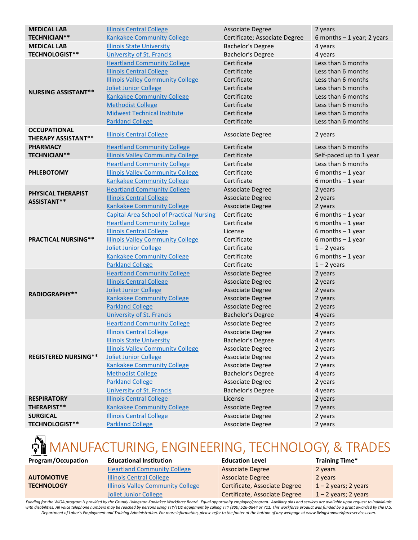| <b>MEDICAL LAB</b>                                | <b>Illinois Central College</b>                                                                                                                         | <b>Associate Degree</b>                                                 | 2 years                                                                                                    |
|---------------------------------------------------|---------------------------------------------------------------------------------------------------------------------------------------------------------|-------------------------------------------------------------------------|------------------------------------------------------------------------------------------------------------|
| <b>TECHNICIAN**</b>                               | <b>Kankakee Community College</b>                                                                                                                       | Certificate; Associate Degree                                           | 6 months $-1$ year; 2 years                                                                                |
| <b>MEDICAL LAB</b>                                | <b>Illinois State University</b>                                                                                                                        | Bachelor's Degree                                                       | 4 years                                                                                                    |
| <b>TECHNOLOGIST**</b>                             | <b>University of St. Francis</b>                                                                                                                        | Bachelor's Degree                                                       | 4 years                                                                                                    |
|                                                   | <b>Heartland Community College</b><br><b>Illinois Central College</b><br><b>Illinois Valley Community College</b>                                       | Certificate<br>Certificate<br>Certificate                               | Less than 6 months<br>Less than 6 months<br>Less than 6 months                                             |
| <b>NURSING ASSISTANT**</b>                        | Joliet Junior College<br><b>Kankakee Community College</b><br><b>Methodist College</b><br><b>Midwest Technical Institute</b><br><b>Parkland College</b> | Certificate<br>Certificate<br>Certificate<br>Certificate<br>Certificate | Less than 6 months<br>Less than 6 months<br>Less than 6 months<br>Less than 6 months<br>Less than 6 months |
| <b>OCCUPATIONAL</b><br><b>THERAPY ASSISTANT**</b> | <b>Illinois Central College</b>                                                                                                                         | Associate Degree                                                        | 2 years                                                                                                    |
| <b>PHARMACY</b>                                   | <b>Heartland Community College</b>                                                                                                                      | Certificate                                                             | Less than 6 months                                                                                         |
| <b>TECHNICIAN**</b>                               | <b>Illinois Valley Community College</b>                                                                                                                | Certificate                                                             | Self-paced up to 1 year                                                                                    |
|                                                   | <b>Heartland Community College</b>                                                                                                                      | Certificate                                                             | Less than 6 months                                                                                         |
| <b>PHLEBOTOMY</b>                                 | <b>Illinois Valley Community College</b>                                                                                                                | Certificate                                                             | 6 months $-1$ year                                                                                         |
|                                                   | <b>Kankakee Community College</b>                                                                                                                       | Certificate                                                             | 6 months $-1$ year                                                                                         |
|                                                   | <b>Heartland Community College</b>                                                                                                                      | <b>Associate Degree</b>                                                 | 2 years                                                                                                    |
| PHYSICAL THERAPIST<br>ASSISTANT**                 | <b>Illinois Central College</b>                                                                                                                         | <b>Associate Degree</b>                                                 | 2 years                                                                                                    |
|                                                   | <b>Kankakee Community College</b>                                                                                                                       | Associate Degree                                                        | 2 years                                                                                                    |
|                                                   | <b>Capital Area School of Practical Nursing</b>                                                                                                         | Certificate                                                             | $6$ months $-1$ year                                                                                       |
|                                                   | <b>Heartland Community College</b>                                                                                                                      | Certificate                                                             | $6$ months $-1$ year                                                                                       |
|                                                   | <b>Illinois Central College</b>                                                                                                                         | License                                                                 | 6 months $-1$ year                                                                                         |
| <b>PRACTICAL NURSING**</b>                        | <b>Illinois Valley Community College</b>                                                                                                                | Certificate                                                             | 6 months $-1$ year                                                                                         |
|                                                   | Joliet Junior College                                                                                                                                   | Certificate                                                             | $1 - 2$ years                                                                                              |
|                                                   | <b>Kankakee Community College</b>                                                                                                                       | Certificate                                                             | 6 months $-1$ year                                                                                         |
|                                                   | <b>Parkland College</b>                                                                                                                                 | Certificate                                                             | $1 - 2$ years                                                                                              |
|                                                   | <b>Heartland Community College</b>                                                                                                                      | <b>Associate Degree</b>                                                 | 2 years                                                                                                    |
|                                                   | <b>Illinois Central College</b>                                                                                                                         | <b>Associate Degree</b>                                                 | 2 years                                                                                                    |
| <b>RADIOGRAPHY**</b>                              | Joliet Junior College                                                                                                                                   | <b>Associate Degree</b>                                                 | 2 years                                                                                                    |
|                                                   | <b>Kankakee Community College</b>                                                                                                                       | <b>Associate Degree</b>                                                 | 2 years                                                                                                    |
|                                                   | <b>Parkland College</b>                                                                                                                                 | Associate Degree                                                        | 2 years                                                                                                    |
|                                                   | <b>University of St. Francis</b>                                                                                                                        | Bachelor's Degree                                                       | 4 years                                                                                                    |
|                                                   | <b>Heartland Community College</b>                                                                                                                      | <b>Associate Degree</b>                                                 | 2 years                                                                                                    |
|                                                   | <b>Illinois Central College</b>                                                                                                                         | Associate Degree                                                        | 2 years                                                                                                    |
|                                                   | <b>Illinois State University</b>                                                                                                                        | Bachelor's Degree                                                       | 4 years                                                                                                    |
|                                                   | <b>Illinois Valley Community College</b>                                                                                                                | <b>Associate Degree</b>                                                 | 2 years                                                                                                    |
| <b>REGISTERED NURSING**</b>                       | <b>Joliet Junior College</b>                                                                                                                            | Associate Degree                                                        | 2 years                                                                                                    |
|                                                   | <b>Kankakee Community College</b>                                                                                                                       | <b>Associate Degree</b>                                                 | 2 years                                                                                                    |
|                                                   | <b>Methodist College</b>                                                                                                                                | Bachelor's Degree                                                       | 4 years                                                                                                    |
|                                                   | <b>Parkland College</b><br><b>University of St. Francis</b>                                                                                             | Associate Degree<br>Bachelor's Degree                                   | 2 years                                                                                                    |
| <b>RESPIRATORY</b>                                | <b>Illinois Central College</b>                                                                                                                         | License                                                                 | 4 years                                                                                                    |
| THERAPIST**                                       | <b>Kankakee Community College</b>                                                                                                                       | <b>Associate Degree</b>                                                 | 2 years<br>2 years                                                                                         |
| <b>SURGICAL</b>                                   | <b>Illinois Central College</b>                                                                                                                         | Associate Degree                                                        | 2 years                                                                                                    |
| <b>TECHNOLOGIST**</b>                             | <b>Parkland College</b>                                                                                                                                 |                                                                         |                                                                                                            |
|                                                   |                                                                                                                                                         | Associate Degree                                                        | 2 years                                                                                                    |

## MANUFACTURING, ENGINEERING, TECHNOLOGY, & TRADES

#### **AUTOMOTIVE TECHNOLOGY**

[Heartland Community College](https://www.heartland.edu/ev/) [Illinois Central College](https://icc.edu/academics/catalog/academic-departments/agricultural-and-industrial-technologies/automotive-technology/) **[Illinois Valley Community College](https://www.ivcc.edu/programsbyareaofstudy/automotive.php)** [Joliet Junior College](https://www.jjc.edu/choose-your-path/architecture-manufacturing-automotive/automotive-service-technology)

**Program/Occupation Educational Institution Education Level Training Time\*** Associate Degree Associate Degree Certificate, Associate Degree Certificate, Associate Degree

2 years 2 years  $1 - 2$  years; 2 years  $1 - 2$  years; 2 years